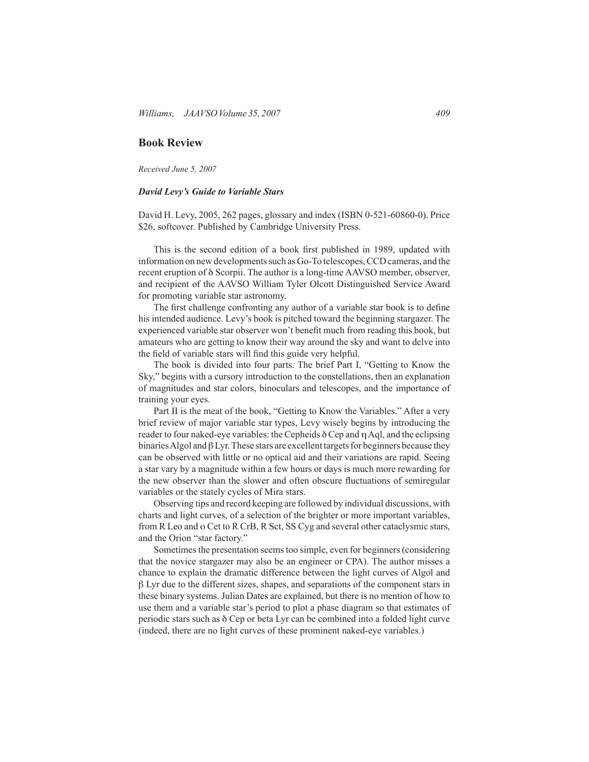## **Book Review**

*Received June 5, 2007*

## *David Levy's Guide to Variable Stars*

David H. Levy, 2005, 262 pages, glossary and index (ISBN 0-521-60860-0). Price \$26, softcover. Published by Cambridge University Press.

 This is the second edition of a book first published in 1989, updated with information on new developments such as Go-To telescopes, CCD cameras, and the recent eruption of δ Scorpii. The author is a long-time AAVSO member, observer, and recipient of the AAVSO William Tyler Olcott Distinguished Service Award for promoting variable star astronomy.

 The first challenge confronting any author of a variable star book is to define his intended audience. Levy's book is pitched toward the beginning stargazer. The experienced variable star observer won't benefit much from reading this book, but amateurs who are getting to know their way around the sky and want to delve into the field of variable stars will find this guide very helpful.

 The book is divided into four parts. The brief Part I, "Getting to Know the Sky," begins with a cursory introduction to the constellations, then an explanation of magnitudes and star colors, binoculars and telescopes, and the importance of training your eyes.

 Part II is the meat of the book, "Getting to Know the Variables." After a very brief review of major variable star types, Levy wisely begins by introducing the reader to four naked-eye variables: the Cepheids δ Cep and η Aql, and the eclipsing binaries Algol and  $\beta$  Lyr. These stars are excellent targets for beginners because they can be observed with little or no optical aid and their variations are rapid. Seeing a star vary by a magnitude within a few hours or days is much more rewarding for the new observer than the slower and often obscure fluctuations of semiregular variables or the stately cycles of Mira stars.

 Observing tips and record keeping are followed by individual discussions, with charts and light curves, of a selection of the brighter or more important variables, from R Leo and o Cet to R CrB, R Sct, SS Cyg and several other cataclysmic stars, and the Orion "star factory."

Sometimes the presentation seems too simple, even for beginners (considering that the novice stargazer may also be an engineer or CPA). The author misses a chance to explain the dramatic difference between the light curves of Algol and β Lyr due to the different sizes, shapes, and separations of the component stars in these binary systems. Julian Dates are explained, but there is no mention of how to use them and a variable star's period to plot a phase diagram so that estimates of periodic stars such as δ Cep or beta Lyr can be combined into a folded light curve (indeed, there are no light curves of these prominent naked-eye variables.)